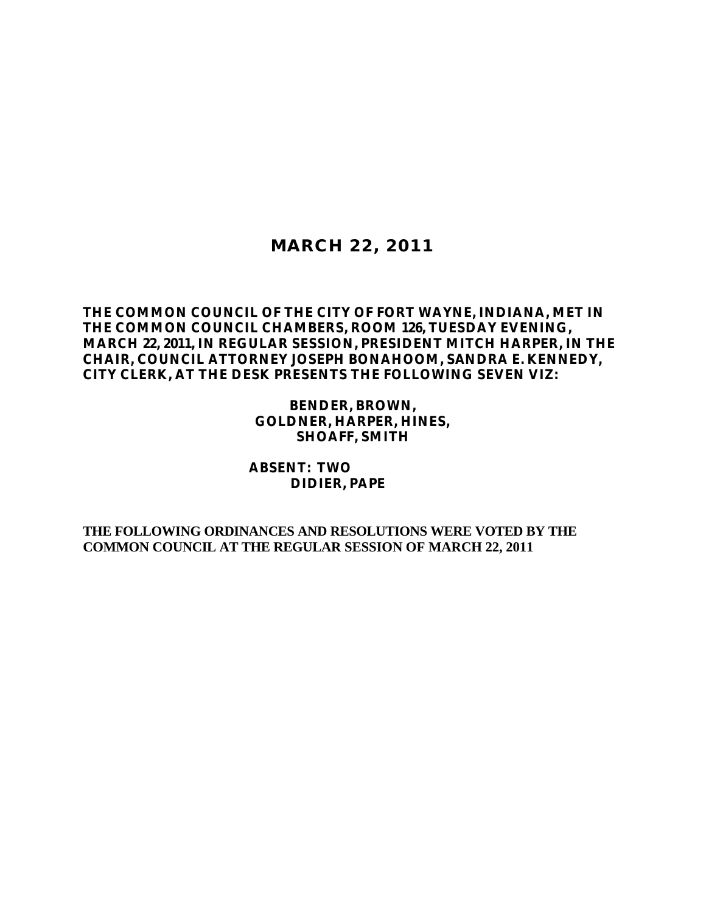## **MARCH 22, 2011**

## **THE COMMON COUNCIL OF THE CITY OF FORT WAYNE, INDIANA, MET IN THE COMMON COUNCIL CHAMBERS, ROOM 126, TUESDAY EVENING, MARCH 22, 2011, IN REGULAR SESSION, PRESIDENT MITCH HARPER, IN THE CHAIR, COUNCIL ATTORNEY JOSEPH BONAHOOM, SANDRA E. KENNEDY, CITY CLERK, AT THE DESK PRESENTS THE FOLLOWING SEVEN VIZ:**

**BENDER, BROWN, GOLDNER, HARPER, HINES, SHOAFF, SMITH**

### **ABSENT: TWO DIDIER, PAPE**

**THE FOLLOWING ORDINANCES AND RESOLUTIONS WERE VOTED BY THE COMMON COUNCIL AT THE REGULAR SESSION OF MARCH 22, 2011**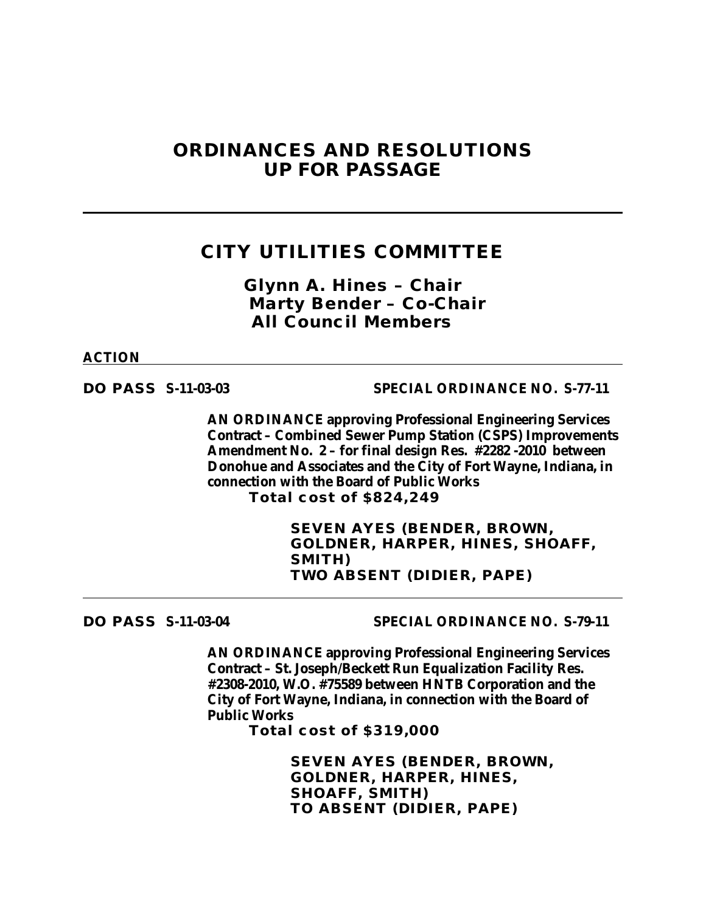## **ORDINANCES AND RESOLUTIONS UP FOR PASSAGE**

## **CITY UTILITIES COMMITTEE**

*Glynn A. Hines – Chair Marty Bender – Co-Chair All Council Members*

#### **ACTION**

**DO PASS S-11-03-03 SPECIAL ORDINANCE NO. S-77-11**

**AN ORDINANCE approving Professional Engineering Services Contract – Combined Sewer Pump Station (CSPS) Improvements Amendment No. 2 – for final design Res. #2282 -2010 between Donohue and Associates and the City of Fort Wayne, Indiana, in connection with the Board of Public Works Total cost of \$824,249**

> **SEVEN AYES (BENDER, BROWN, GOLDNER, HARPER, HINES, SHOAFF, SMITH) TWO ABSENT (DIDIER, PAPE)**

**DO PASS S-11-03-04 SPECIAL ORDINANCE NO. S-79-11**

**AN ORDINANCE approving Professional Engineering Services Contract – St. Joseph/Beckett Run Equalization Facility Res. #2308-2010, W.O. #75589 between HNTB Corporation and the City of Fort Wayne, Indiana, in connection with the Board of Public Works**

**Total cost of \$319,000**

**SEVEN AYES (BENDER, BROWN, GOLDNER, HARPER, HINES, SHOAFF, SMITH) TO ABSENT (DIDIER, PAPE)**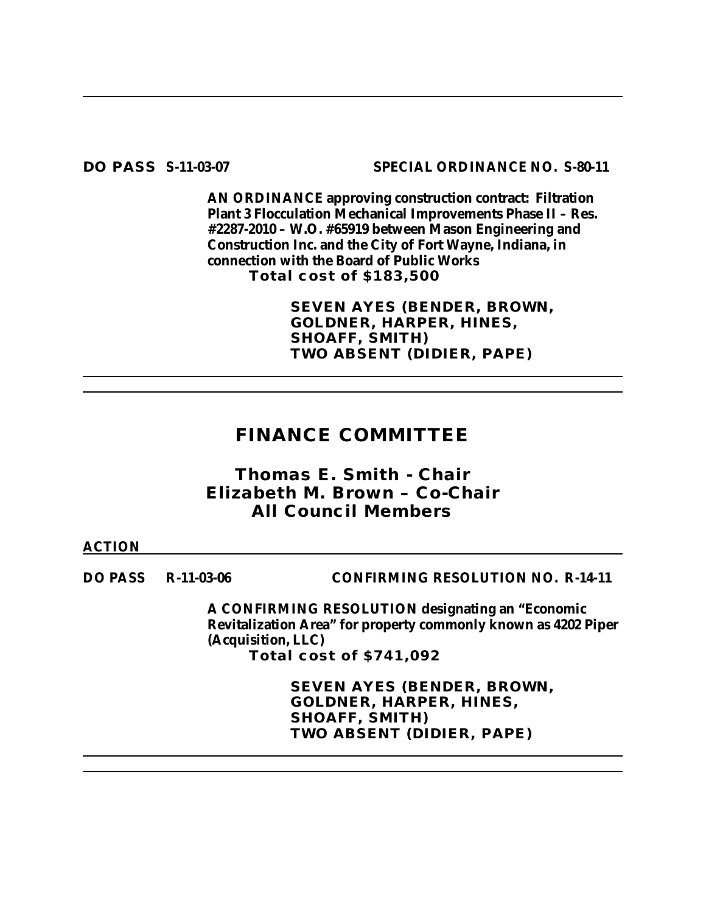**DO PASS S-11-03-07 SPECIAL ORDINANCE NO. S-80-11**

**AN ORDINANCE approving construction contract: Filtration Plant 3 Flocculation Mechanical Improvements Phase II – Res. #2287-2010 – W.O. #65919 between Mason Engineering and Construction Inc. and the City of Fort Wayne, Indiana, in connection with the Board of Public Works Total cost of \$183,500**

> **SEVEN AYES (BENDER, BROWN, GOLDNER, HARPER, HINES, SHOAFF, SMITH) TWO ABSENT (DIDIER, PAPE)**

# **FINANCE COMMITTEE**

## *Thomas E. Smith - Chair Elizabeth M. Brown – Co-Chair All Council Members*

### **ACTION**

**DO PASS R-11-03-06 CONFIRMING RESOLUTION NO. R-14-11**

**A CONFIRMING RESOLUTION designating an "Economic Revitalization Area" for property commonly known as 4202 Piper (Acquisition, LLC) Total cost of \$741,092** 

> **SEVEN AYES (BENDER, BROWN, GOLDNER, HARPER, HINES, SHOAFF, SMITH) TWO ABSENT (DIDIER, PAPE)**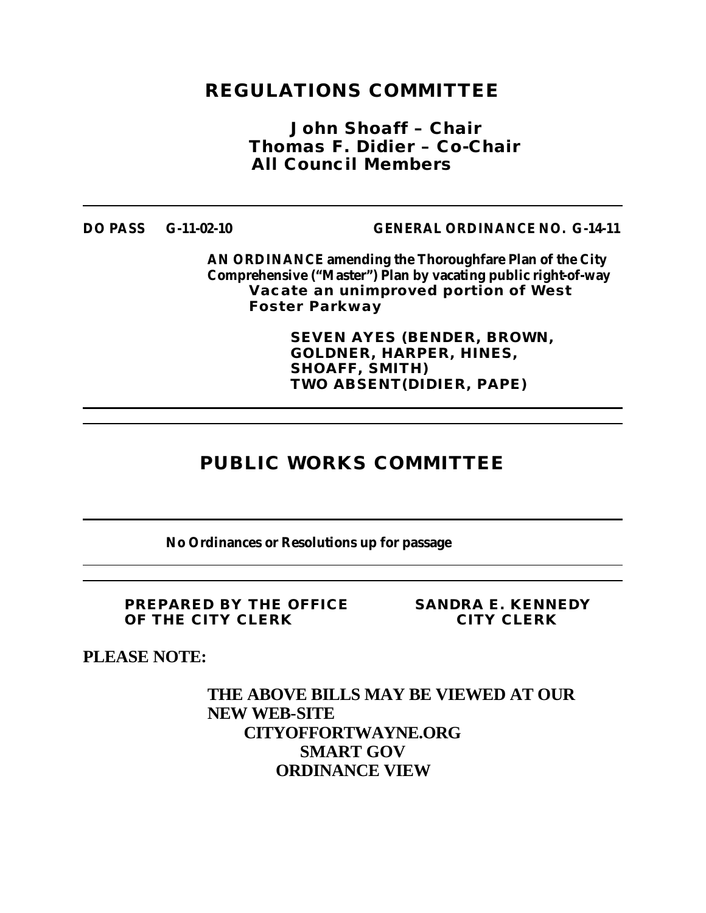# **REGULATIONS COMMITTEE**

*John Shoaff – Chair Thomas F. Didier – Co-Chair All Council Members*

**DO PASS G-11-02-10 GENERAL ORDINANCE NO. G-14-11**

**AN ORDINANCE amending the Thoroughfare Plan of the City Comprehensive ("Master") Plan by vacating public right-of-way Vacate an unimproved portion of West Foster Parkway** 

> **SEVEN AYES (BENDER, BROWN, GOLDNER, HARPER, HINES, SHOAFF, SMITH) TWO ABSENT(DIDIER, PAPE)**

# **PUBLIC WORKS COMMITTEE**

**No Ordinances or Resolutions up for passage**

**PREPARED BY THE OFFICE SANDRA E. KENNEDY OF THE CITY CLERK CITY CLERK**

**PLEASE NOTE:**

**THE ABOVE BILLS MAY BE VIEWED AT OUR NEW WEB-SITE CITYOFFORTWAYNE.ORG SMART GOV ORDINANCE VIEW**